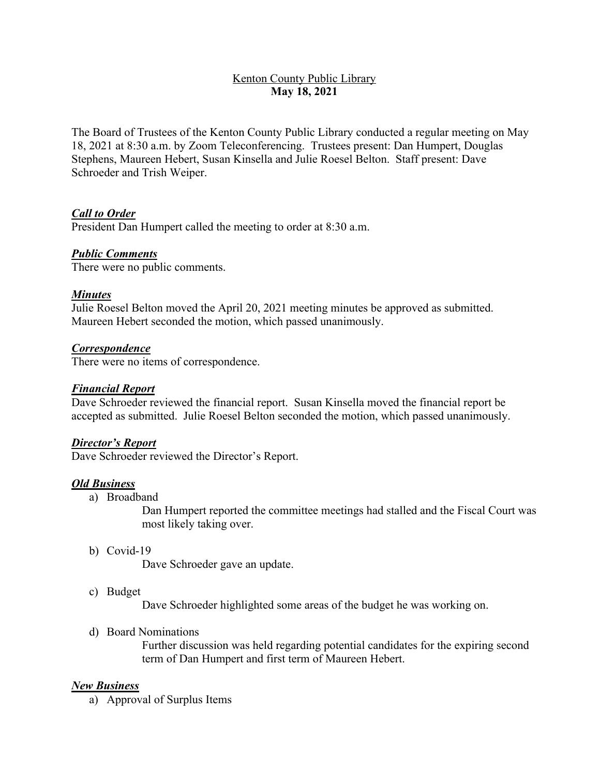# Kenton County Public Library **May 18, 2021**

The Board of Trustees of the Kenton County Public Library conducted a regular meeting on May 18, 2021 at 8:30 a.m. by Zoom Teleconferencing. Trustees present: Dan Humpert, Douglas Stephens, Maureen Hebert, Susan Kinsella and Julie Roesel Belton. Staff present: Dave Schroeder and Trish Weiper.

## *Call to Order*

President Dan Humpert called the meeting to order at 8:30 a.m.

### *Public Comments*

There were no public comments.

### *Minutes*

Julie Roesel Belton moved the April 20, 2021 meeting minutes be approved as submitted. Maureen Hebert seconded the motion, which passed unanimously.

#### *Correspondence*

There were no items of correspondence.

### *Financial Report*

Dave Schroeder reviewed the financial report. Susan Kinsella moved the financial report be accepted as submitted. Julie Roesel Belton seconded the motion, which passed unanimously.

### *Director's Report*

Dave Schroeder reviewed the Director's Report.

### *Old Business*

a) Broadband

Dan Humpert reported the committee meetings had stalled and the Fiscal Court was most likely taking over.

b) Covid-19

Dave Schroeder gave an update.

c) Budget

Dave Schroeder highlighted some areas of the budget he was working on.

d) Board Nominations

Further discussion was held regarding potential candidates for the expiring second term of Dan Humpert and first term of Maureen Hebert.

### *New Business*

a) Approval of Surplus Items